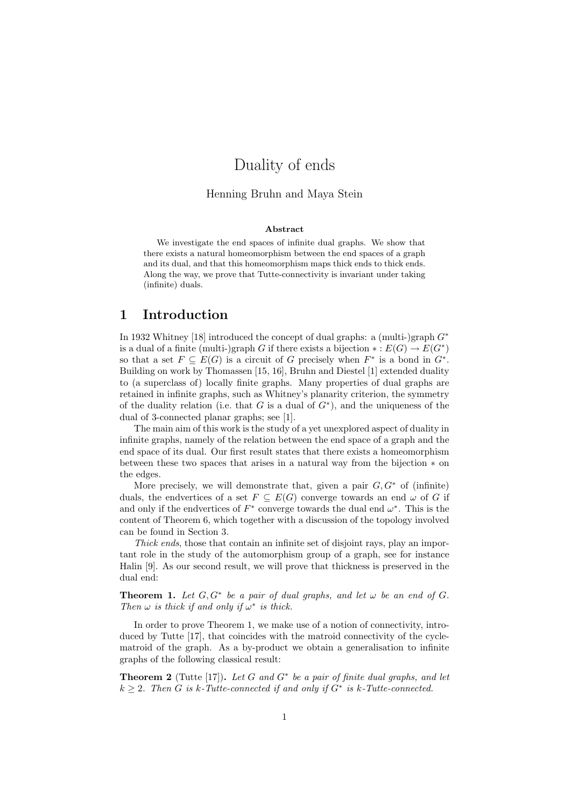# Duality of ends

#### Henning Bruhn and Maya Stein

#### Abstract

We investigate the end spaces of infinite dual graphs. We show that there exists a natural homeomorphism between the end spaces of a graph and its dual, and that this homeomorphism maps thick ends to thick ends. Along the way, we prove that Tutte-connectivity is invariant under taking (infinite) duals.

## 1 Introduction

In 1932 Whitney [18] introduced the concept of dual graphs: a (multi-)graph  $G^*$ is a dual of a finite (multi-)graph G if there exists a bijection  $\ast : E(G) \to E(G^*)$ so that a set  $F \subseteq E(G)$  is a circuit of G precisely when  $F^*$  is a bond in  $G^*$ . Building on work by Thomassen [15, 16], Bruhn and Diestel [1] extended duality to (a superclass of) locally finite graphs. Many properties of dual graphs are retained in infinite graphs, such as Whitney's planarity criterion, the symmetry of the duality relation (i.e. that G is a dual of  $G^*$ ), and the uniqueness of the dual of 3-connected planar graphs; see [1].

The main aim of this work is the study of a yet unexplored aspect of duality in infinite graphs, namely of the relation between the end space of a graph and the end space of its dual. Our first result states that there exists a homeomorphism between these two spaces that arises in a natural way from the bijection ∗ on the edges.

More precisely, we will demonstrate that, given a pair  $G, G^*$  of (infinite) duals, the endvertices of a set  $F \subseteq E(G)$  converge towards an end  $\omega$  of G if and only if the endvertices of  $F^*$  converge towards the dual end  $\omega^*$ . This is the content of Theorem 6, which together with a discussion of the topology involved can be found in Section 3.

Thick ends, those that contain an infinite set of disjoint rays, play an important role in the study of the automorphism group of a graph, see for instance Halin [9]. As our second result, we will prove that thickness is preserved in the dual end:

**Theorem 1.** Let  $G, G^*$  be a pair of dual graphs, and let  $\omega$  be an end of  $G$ . Then  $\omega$  is thick if and only if  $\omega^*$  is thick.

In order to prove Theorem 1, we make use of a notion of connectivity, introduced by Tutte [17], that coincides with the matroid connectivity of the cyclematroid of the graph. As a by-product we obtain a generalisation to infinite graphs of the following classical result:

**Theorem 2** (Tutte [17]). Let G and  $G^*$  be a pair of finite dual graphs, and let  $k \geq 2$ . Then G is k-Tutte-connected if and only if  $G^*$  is k-Tutte-connected.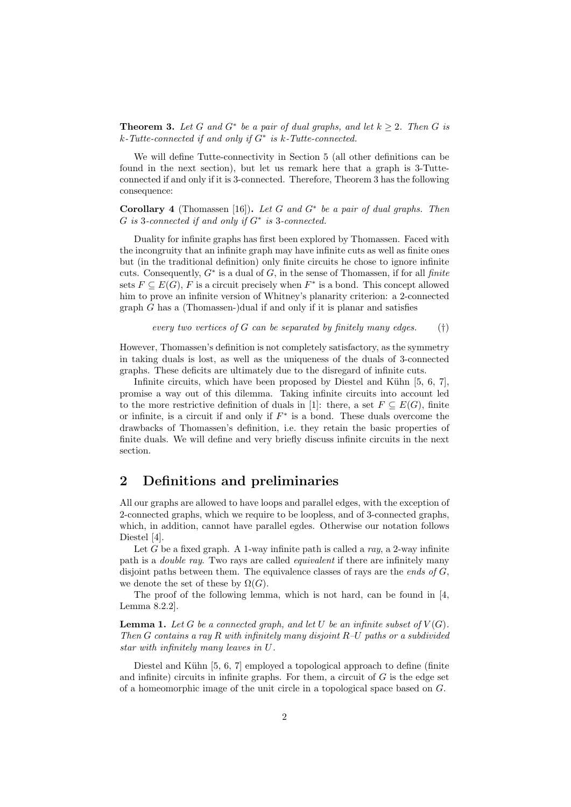**Theorem 3.** Let G and  $G^*$  be a pair of dual graphs, and let  $k \geq 2$ . Then G is k-Tutte-connected if and only if G<sup>∗</sup> is k-Tutte-connected.

We will define Tutte-connectivity in Section 5 (all other definitions can be found in the next section), but let us remark here that a graph is 3-Tutteconnected if and only if it is 3-connected. Therefore, Theorem 3 has the following consequence:

Corollary 4 (Thomassen [16]). Let G and  $G^*$  be a pair of dual graphs. Then  $G$  is 3-connected if and only if  $G^*$  is 3-connected.

Duality for infinite graphs has first been explored by Thomassen. Faced with the incongruity that an infinite graph may have infinite cuts as well as finite ones but (in the traditional definition) only finite circuits he chose to ignore infinite cuts. Consequently,  $G^*$  is a dual of  $G$ , in the sense of Thomassen, if for all finite sets  $F \subseteq E(G)$ , F is a circuit precisely when  $F^*$  is a bond. This concept allowed him to prove an infinite version of Whitney's planarity criterion: a 2-connected  $graph G$  has a (Thomassen-)dual if and only if it is planar and satisfies

every two vertices of 
$$
G
$$
 can be separated by finitely many edges. (†)

However, Thomassen's definition is not completely satisfactory, as the symmetry in taking duals is lost, as well as the uniqueness of the duals of 3-connected graphs. These deficits are ultimately due to the disregard of infinite cuts.

Infinite circuits, which have been proposed by Diestel and Kühn  $[5, 6, 7]$ , promise a way out of this dilemma. Taking infinite circuits into account led to the more restrictive definition of duals in [1]: there, a set  $F \subseteq E(G)$ , finite or infinite, is a circuit if and only if  $F^*$  is a bond. These duals overcome the drawbacks of Thomassen's definition, i.e. they retain the basic properties of finite duals. We will define and very briefly discuss infinite circuits in the next section.

## 2 Definitions and preliminaries

All our graphs are allowed to have loops and parallel edges, with the exception of 2-connected graphs, which we require to be loopless, and of 3-connected graphs, which, in addition, cannot have parallel egdes. Otherwise our notation follows Diestel [4].

Let G be a fixed graph. A 1-way infinite path is called a ray, a 2-way infinite path is a *double ray*. Two rays are called *equivalent* if there are infinitely many disjoint paths between them. The equivalence classes of rays are the ends of  $G$ , we denote the set of these by  $\Omega(G)$ .

The proof of the following lemma, which is not hard, can be found in [4, Lemma 8.2.2].

**Lemma 1.** Let G be a connected graph, and let U be an infinite subset of  $V(G)$ . Then G contains a ray R with infinitely many disjoint R–U paths or a subdivided star with infinitely many leaves in U.

Diestel and Kühn [5, 6, 7] employed a topological approach to define (finite and infinite) circuits in infinite graphs. For them, a circuit of  $G$  is the edge set of a homeomorphic image of the unit circle in a topological space based on  $G$ .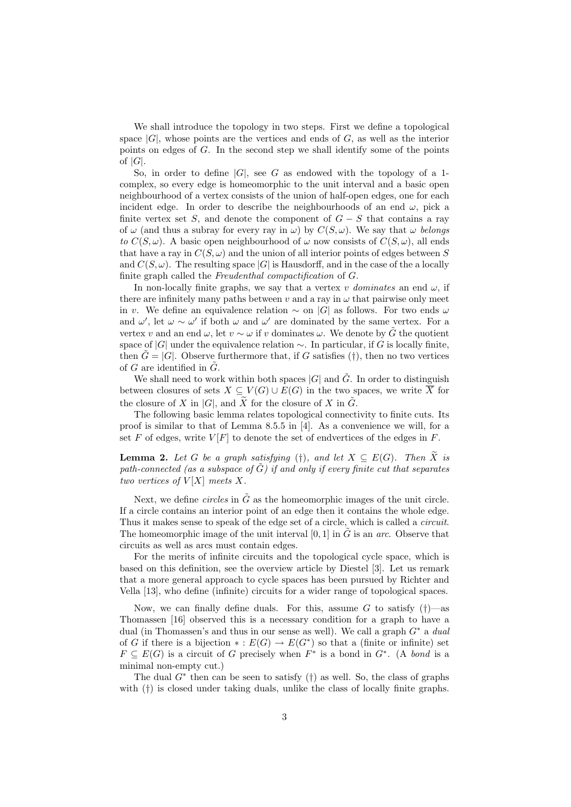We shall introduce the topology in two steps. First we define a topological space  $|G|$ , whose points are the vertices and ends of  $G$ , as well as the interior points on edges of  $G$ . In the second step we shall identify some of the points of  $|G|$ .

So, in order to define  $|G|$ , see G as endowed with the topology of a 1complex, so every edge is homeomorphic to the unit interval and a basic open neighbourhood of a vertex consists of the union of half-open edges, one for each incident edge. In order to describe the neighbourhoods of an end  $\omega$ , pick a finite vertex set S, and denote the component of  $G - S$  that contains a ray of  $\omega$  (and thus a subray for every ray in  $\omega$ ) by  $C(S, \omega)$ . We say that  $\omega$  belongs to  $C(S,\omega)$ . A basic open neighbourhood of  $\omega$  now consists of  $C(S,\omega)$ , all ends that have a ray in  $C(S,\omega)$  and the union of all interior points of edges between S and  $C(S, \omega)$ . The resulting space |G| is Hausdorff, and in the case of the a locally finite graph called the Freudenthal compactification of G.

In non-locally finite graphs, we say that a vertex v dominates an end  $\omega$ , if there are infinitely many paths between v and a ray in  $\omega$  that pairwise only meet in v. We define an equivalence relation  $\sim$  on |G| as follows. For two ends  $\omega$ and  $\omega'$ , let  $\omega \sim \omega'$  if both  $\omega$  and  $\omega'$  are dominated by the same vertex. For a vertex v and an end  $\omega$ , let  $v \sim \omega$  if v dominates  $\omega$ . We denote by  $\tilde{G}$  the quotient space of  $|G|$  under the equivalence relation  $\sim$ . In particular, if G is locally finite, then  $\tilde{G} = |G|$ . Observe furthermore that, if G satisfies (†), then no two vertices of  $G$  are identified in  $G$ .

We shall need to work within both spaces  $|G|$  and  $\tilde{G}$ . In order to distinguish between closures of sets  $X \subseteq V(G) \cup E(G)$  in the two spaces, we write  $\overline{X}$  for the closure of X in |G|, and  $\widetilde{X}$  for the closure of X in  $\widetilde{G}$ .

The following basic lemma relates topological connectivity to finite cuts. Its proof is similar to that of Lemma 8.5.5 in [4]. As a convenience we will, for a set F of edges, write  $V[F]$  to denote the set of endvertices of the edges in F.

**Lemma 2.** Let G be a graph satisfying (†), and let  $X \subseteq E(G)$ . Then  $\widetilde{X}$  is path-connected (as a subspace of  $\tilde{G}$ ) if and only if every finite cut that separates two vertices of  $V[X]$  meets X.

Next, we define *circles* in  $\tilde{G}$  as the homeomorphic images of the unit circle. If a circle contains an interior point of an edge then it contains the whole edge. Thus it makes sense to speak of the edge set of a circle, which is called a *circuit*. The homeomorphic image of the unit interval [0, 1] in  $\tilde{G}$  is an *arc*. Observe that circuits as well as arcs must contain edges.

For the merits of infinite circuits and the topological cycle space, which is based on this definition, see the overview article by Diestel [3]. Let us remark that a more general approach to cycle spaces has been pursued by Richter and Vella [13], who define (infinite) circuits for a wider range of topological spaces.

Now, we can finally define duals. For this, assume G to satisfy  $(†)$ —as Thomassen [16] observed this is a necessary condition for a graph to have a dual (in Thomassen's and thus in our sense as well). We call a graph  $G^*$  a dual of G if there is a bijection  $* : E(G) \to E(G^*)$  so that a (finite or infinite) set  $F \subseteq E(G)$  is a circuit of G precisely when  $F^*$  is a bond in  $G^*$ . (A bond is a minimal non-empty cut.)

The dual  $G^*$  then can be seen to satisfy (†) as well. So, the class of graphs with (†) is closed under taking duals, unlike the class of locally finite graphs.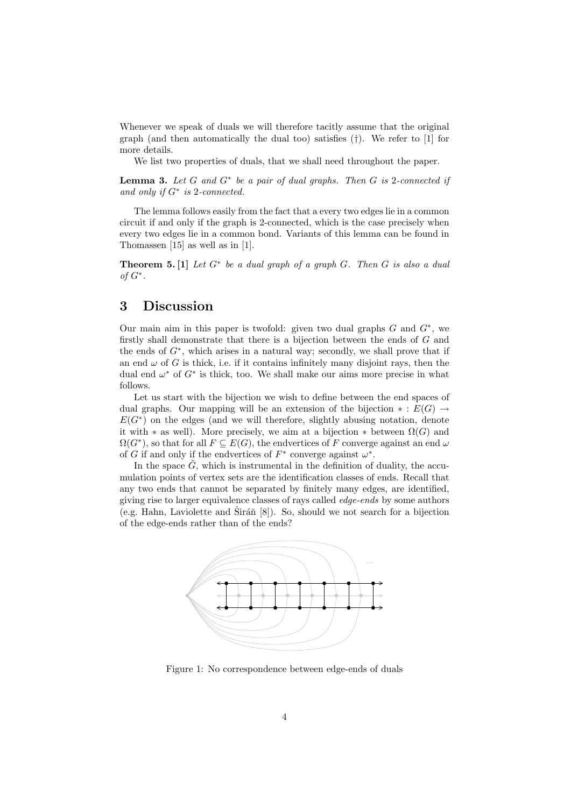Whenever we speak of duals we will therefore tacitly assume that the original graph (and then automatically the dual too) satisfies (†). We refer to [1] for more details.

We list two properties of duals, that we shall need throughout the paper.

**Lemma 3.** Let  $G$  and  $G^*$  be a pair of dual graphs. Then  $G$  is 2-connected if and only if  $G^*$  is 2-connected.

The lemma follows easily from the fact that a every two edges lie in a common circuit if and only if the graph is 2-connected, which is the case precisely when every two edges lie in a common bond. Variants of this lemma can be found in Thomassen [15] as well as in [1].

**Theorem 5.** [1] Let  $G^*$  be a dual graph of a graph  $G$ . Then  $G$  is also a dual of  $G^*$ .

#### 3 Discussion

Our main aim in this paper is twofold: given two dual graphs  $G$  and  $G^*$ , we firstly shall demonstrate that there is a bijection between the ends of G and the ends of  $G^*$ , which arises in a natural way; secondly, we shall prove that if an end  $\omega$  of G is thick, i.e. if it contains infinitely many disjoint rays, then the dual end  $\omega^*$  of  $G^*$  is thick, too. We shall make our aims more precise in what follows.

Let us start with the bijection we wish to define between the end spaces of dual graphs. Our mapping will be an extension of the bijection  $* : E(G) \rightarrow$  $E(G^*)$  on the edges (and we will therefore, slightly abusing notation, denote it with  $*$  as well). More precisely, we aim at a bijection  $*$  between  $\Omega(G)$  and  $\Omega(G^*)$ , so that for all  $F \subseteq E(G)$ , the endvertices of F converge against an end  $\omega$ of G if and only if the endvertices of  $F^*$  converge against  $\omega^*$ .

In the space  $\tilde{G}$ , which is instrumental in the definition of duality, the accumulation points of vertex sets are the identification classes of ends. Recall that any two ends that cannot be separated by finitely many edges, are identified, giving rise to larger equivalence classes of rays called edge-ends by some authors (e.g. Hahn, Laviolette and Širáň  $[8]$ ). So, should we not search for a bijection of the edge-ends rather than of the ends?



Figure 1: No correspondence between edge-ends of duals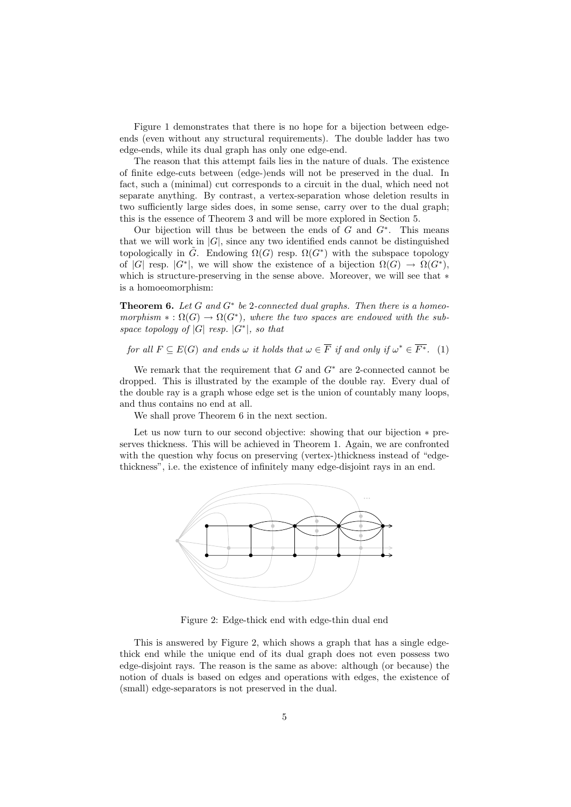Figure 1 demonstrates that there is no hope for a bijection between edgeends (even without any structural requirements). The double ladder has two edge-ends, while its dual graph has only one edge-end.

The reason that this attempt fails lies in the nature of duals. The existence of finite edge-cuts between (edge-)ends will not be preserved in the dual. In fact, such a (minimal) cut corresponds to a circuit in the dual, which need not separate anything. By contrast, a vertex-separation whose deletion results in two sufficiently large sides does, in some sense, carry over to the dual graph; this is the essence of Theorem 3 and will be more explored in Section 5.

Our bijection will thus be between the ends of  $G$  and  $G^*$ . This means that we will work in  $|G|$ , since any two identified ends cannot be distinguished topologically in  $\tilde{G}$ . Endowing  $\Omega(G)$  resp.  $\Omega(G^*)$  with the subspace topology of |G| resp.  $|G^*|$ , we will show the existence of a bijection  $\Omega(G) \to \Omega(G^*)$ , which is structure-preserving in the sense above. Moreover, we will see that ∗ is a homoeomorphism:

**Theorem 6.** Let  $G$  and  $G^*$  be 2-connected dual graphs. Then there is a homeomorphism  $* : \Omega(G) \to \Omega(G^*)$ , where the two spaces are endowed with the subspace topology of  $|G|$  resp.  $|G^*|$ , so that

for all  $F \subseteq E(G)$  and ends  $\omega$  it holds that  $\omega \in \overline{F}$  if and only if  $\omega^* \in \overline{F^*}$ . (1)

We remark that the requirement that  $G$  and  $G^*$  are 2-connected cannot be dropped. This is illustrated by the example of the double ray. Every dual of the double ray is a graph whose edge set is the union of countably many loops, and thus contains no end at all.

We shall prove Theorem 6 in the next section.

Let us now turn to our second objective: showing that our bijection ∗ preserves thickness. This will be achieved in Theorem 1. Again, we are confronted with the question why focus on preserving (vertex-)thickness instead of "edgethickness", i.e. the existence of infinitely many edge-disjoint rays in an end.



Figure 2: Edge-thick end with edge-thin dual end

This is answered by Figure 2, which shows a graph that has a single edgethick end while the unique end of its dual graph does not even possess two edge-disjoint rays. The reason is the same as above: although (or because) the notion of duals is based on edges and operations with edges, the existence of (small) edge-separators is not preserved in the dual.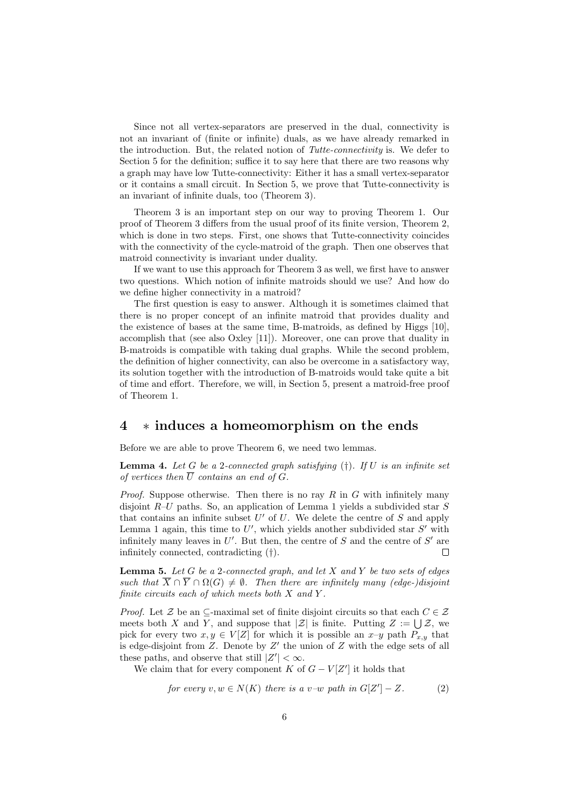Since not all vertex-separators are preserved in the dual, connectivity is not an invariant of (finite or infinite) duals, as we have already remarked in the introduction. But, the related notion of Tutte-connectivity is. We defer to Section 5 for the definition; suffice it to say here that there are two reasons why a graph may have low Tutte-connectivity: Either it has a small vertex-separator or it contains a small circuit. In Section 5, we prove that Tutte-connectivity is an invariant of infinite duals, too (Theorem 3).

Theorem 3 is an important step on our way to proving Theorem 1. Our proof of Theorem 3 differs from the usual proof of its finite version, Theorem 2, which is done in two steps. First, one shows that Tutte-connectivity coincides with the connectivity of the cycle-matroid of the graph. Then one observes that matroid connectivity is invariant under duality.

If we want to use this approach for Theorem 3 as well, we first have to answer two questions. Which notion of infinite matroids should we use? And how do we define higher connectivity in a matroid?

The first question is easy to answer. Although it is sometimes claimed that there is no proper concept of an infinite matroid that provides duality and the existence of bases at the same time, B-matroids, as defined by Higgs [10], accomplish that (see also Oxley [11]). Moreover, one can prove that duality in B-matroids is compatible with taking dual graphs. While the second problem, the definition of higher connectivity, can also be overcome in a satisfactory way, its solution together with the introduction of B-matroids would take quite a bit of time and effort. Therefore, we will, in Section 5, present a matroid-free proof of Theorem 1.

## 4 ∗ induces a homeomorphism on the ends

Before we are able to prove Theorem 6, we need two lemmas.

**Lemma 4.** Let G be a 2-connected graph satisfying  $(†)$ . If U is an infinite set of vertices then  $\overline{U}$  contains an end of G.

*Proof.* Suppose otherwise. Then there is no ray  $R$  in  $G$  with infinitely many disjoint  $R-U$  paths. So, an application of Lemma 1 yields a subdivided star S that contains an infinite subset  $U'$  of  $U$ . We delete the centre of  $S$  and apply Lemma 1 again, this time to  $U'$ , which yields another subdivided star  $S'$  with infinitely many leaves in  $U'$ . But then, the centre of S and the centre of  $S'$  are infinitely connected, contradicting (†). П

**Lemma 5.** Let  $G$  be a 2-connected graph, and let  $X$  and  $Y$  be two sets of edges such that  $\overline{X} \cap \overline{Y} \cap \Omega(G) \neq \emptyset$ . Then there are infinitely many (edge-)disjoint finite circuits each of which meets both  $X$  and  $Y$ .

*Proof.* Let  $\mathcal Z$  be an  $\subseteq$ -maximal set of finite disjoint circuits so that each  $C \in \mathcal Z$ meets both X and Y, and suppose that  $|\mathcal{Z}|$  is finite. Putting  $Z := \bigcup \mathcal{Z}$ , we pick for every two  $x, y \in V[Z]$  for which it is possible an  $x-y$  path  $P_{x,y}$  that is edge-disjoint from  $Z$ . Denote by  $Z'$  the union of  $Z$  with the edge sets of all these paths, and observe that still  $|Z'| < \infty$ .

We claim that for every component K of  $G - V[Z']$  it holds that

for every  $v, w \in N(K)$  there is a v-w path in  $G[Z'] - Z$ . (2)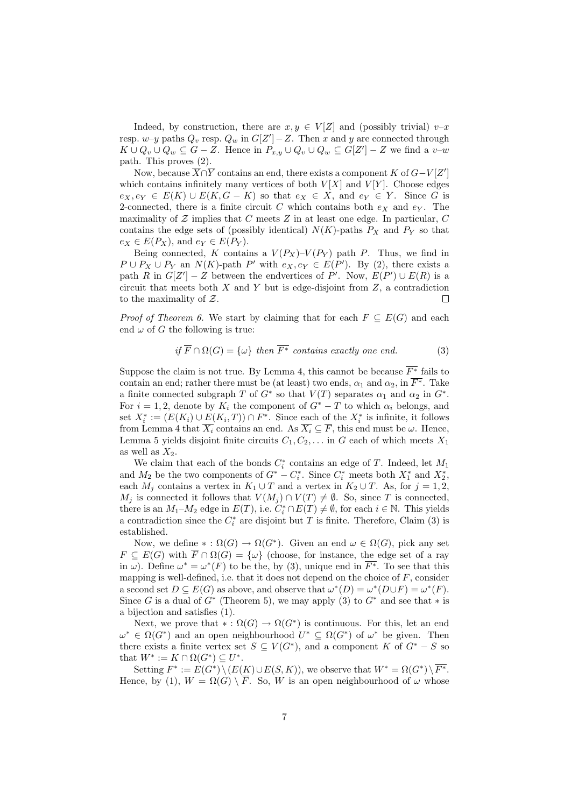Indeed, by construction, there are  $x, y \in V[Z]$  and (possibly trivial)  $v-x$ resp.  $w-y$  paths  $Q_v$  resp.  $Q_w$  in  $G[Z'] - Z$ . Then x and y are connected through  $K \cup Q_v \cup Q_w \subseteq G - Z$ . Hence in  $P_{x,y} \cup Q_v \cup Q_w \subseteq G[Z'] - Z$  we find a v-w path. This proves (2).

Now, because  $\overline{X} \cap \overline{Y}$  contains an end, there exists a component K of  $G - V[Z']$ which contains infinitely many vertices of both  $V[X]$  and  $V[Y]$ . Choose edges  $e_X, e_Y \in E(K) \cup E(K, G - K)$  so that  $e_X \in X$ , and  $e_Y \in Y$ . Since G is 2-connected, there is a finite circuit C which contains both  $e_X$  and  $e_Y$ . The maximality of  $Z$  implies that  $C$  meets  $Z$  in at least one edge. In particular,  $C$ contains the edge sets of (possibly identical)  $N(K)$ -paths  $P_X$  and  $P_Y$  so that  $e_X \in E(P_X)$ , and  $e_Y \in E(P_Y)$ .

Being connected, K contains a  $V(P_X)$ – $V(P_Y)$  path P. Thus, we find in  $P \cup P_X \cup P_Y$  an  $N(K)$ -path  $P'$  with  $e_X, e_Y \in E(P')$ . By (2), there exists a path R in  $G[Z'] - Z$  between the endvertices of P'. Now,  $E(P') \cup E(R)$  is a circuit that meets both  $X$  and  $Y$  but is edge-disjoint from  $Z$ , a contradiction to the maximality of  $Z$ .  $\Box$ 

*Proof of Theorem 6.* We start by claiming that for each  $F \subseteq E(G)$  and each end  $\omega$  of G the following is true:

if 
$$
\overline{F} \cap \Omega(G) = \{\omega\}
$$
 then  $\overline{F^*}$  contains exactly one end. (3)

Suppose the claim is not true. By Lemma 4, this cannot be because  $\overline{F^*}$  fails to contain an end; rather there must be (at least) two ends,  $\alpha_1$  and  $\alpha_2$ , in  $\overline{F^*}$ . Take a finite connected subgraph T of  $G^*$  so that  $V(T)$  separates  $\alpha_1$  and  $\alpha_2$  in  $G^*$ . For  $i = 1, 2$ , denote by  $K_i$  the component of  $G^* - T$  to which  $\alpha_i$  belongs, and set  $X_i^* := (E(K_i) \cup \underline{E}(K_i, T)) \cap F^*$ . Since each of the  $X_i^*$  is infinite, it follows from Lemma 4 that  $\overline{X_i}$  contains an end. As  $\overline{X_i} \subseteq \overline{F}$ , this end must be  $\omega$ . Hence, Lemma 5 yields disjoint finite circuits  $C_1, C_2, \ldots$  in G each of which meets  $X_1$ as well as  $X_2$ .

We claim that each of the bonds  $C_i^*$  contains an edge of T. Indeed, let  $M_1$ and  $M_2$  be the two components of  $G^* - C_i^*$ . Since  $C_i^*$  meets both  $X_1^*$  and  $X_2^*$ , each  $M_j$  contains a vertex in  $K_1 \cup T$  and a vertex in  $K_2 \cup T$ . As, for  $j = 1, 2$ ,  $M_j$  is connected it follows that  $V(M_j) \cap V(T) \neq \emptyset$ . So, since T is connected, there is an  $M_1-M_2$  edge in  $E(T)$ , i.e.  $C_i^* \cap E(T) \neq \emptyset$ , for each  $i \in \mathbb{N}$ . This yields a contradiction since the  $C_i^*$  are disjoint but T is finite. Therefore, Claim (3) is established.

Now, we define  $* : \Omega(G) \to \Omega(G^*)$ . Given an end  $\omega \in \Omega(G)$ , pick any set  $F \subseteq E(G)$  with  $\overline{F} \cap \Omega(G) = {\omega}$  (choose, for instance, the edge set of a ray in  $\omega$ ). Define  $\omega^* = \omega^*(F)$  to be the, by (3), unique end in  $\overline{F^*}$ . To see that this mapping is well-defined, i.e. that it does not depend on the choice of  $F$ , consider a second set  $D \subseteq E(G)$  as above, and observe that  $\omega^*(D) = \omega^*(D \cup F) = \omega^*(F)$ . Since G is a dual of  $G^*$  (Theorem 5), we may apply (3) to  $G^*$  and see that  $*$  is a bijection and satisfies (1).

Next, we prove that  $\ast : \Omega(G) \to \Omega(G^*)$  is continuous. For this, let an end  $\omega^* \in \Omega(G^*)$  and an open neighbourhood  $U^* \subseteq \Omega(G^*)$  of  $\omega^*$  be given. Then there exists a finite vertex set  $S \subseteq V(G^*)$ , and a component K of  $G^* - S$  so that  $W^* := K \cap \Omega(G^*) \subseteq U^*$ .

Setting  $F^* := E(G^*) \setminus (E(K) \cup E(S, K))$ , we observe that  $W^* = \Omega(G^*) \setminus \overline{F^*}$ . Hence, by (1),  $W = \Omega(G) \setminus \overline{F}$ . So, W is an open neighbourhood of  $\omega$  whose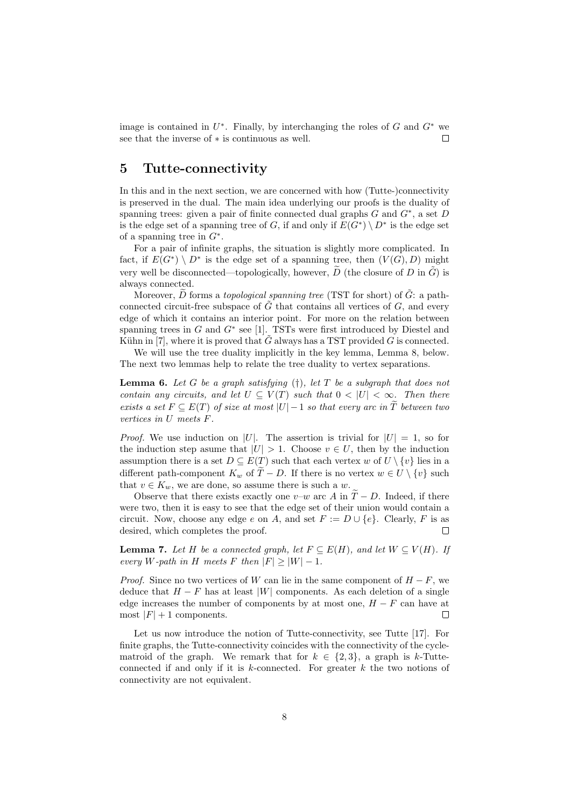image is contained in  $U^*$ . Finally, by interchanging the roles of G and  $G^*$  we see that the inverse of ∗ is continuous as well.  $\Box$ 

### 5 Tutte-connectivity

In this and in the next section, we are concerned with how (Tutte-)connectivity is preserved in the dual. The main idea underlying our proofs is the duality of spanning trees: given a pair of finite connected dual graphs  $G$  and  $G^*$ , a set  $D$ is the edge set of a spanning tree of G, if and only if  $E(G^*) \setminus D^*$  is the edge set of a spanning tree in  $G^*$ .

For a pair of infinite graphs, the situation is slightly more complicated. In fact, if  $E(G^*) \setminus D^*$  is the edge set of a spanning tree, then  $(V(G), D)$  might very well be disconnected—topologically, however,  $\tilde{D}$  (the closure of D in  $\tilde{G}$ ) is always connected.

Moreover,  $\widetilde{D}$  forms a topological spanning tree (TST for short) of  $\widetilde{G}$ : a pathconnected circuit-free subspace of  $\tilde{G}$  that contains all vertices of  $G$ , and every edge of which it contains an interior point. For more on the relation between spanning trees in  $G$  and  $G^*$  see [1]. TSTs were first introduced by Diestel and Kühn in [7], where it is proved that  $\tilde{G}$  always has a TST provided G is connected.

We will use the tree duality implicitly in the key lemma, Lemma 8, below. The next two lemmas help to relate the tree duality to vertex separations.

**Lemma 6.** Let G be a graph satisfying  $(†)$ , let T be a subgraph that does not contain any circuits, and let  $U \subseteq V(T)$  such that  $0 < |U| < \infty$ . Then there exists a set  $F \subseteq E(T)$  of size at most  $|U|-1$  so that every arc in  $\widetilde{T}$  between two vertices in U meets F.

*Proof.* We use induction on |U|. The assertion is trivial for  $|U| = 1$ , so for the induction step asume that  $|U| > 1$ . Choose  $v \in U$ , then by the induction assumption there is a set  $D \subseteq E(T)$  such that each vertex w of  $U \setminus \{v\}$  lies in a different path-component  $K_w$  of  $\widetilde{T} - D$ . If there is no vertex  $w \in U \setminus \{v\}$  such that  $v \in K_w$ , we are done, so assume there is such a w.

Observe that there exists exactly one v–w arc A in  $\widetilde{T} - D$ . Indeed, if there were two, then it is easy to see that the edge set of their union would contain a circuit. Now, choose any edge e on A, and set  $F := D \cup \{e\}$ . Clearly, F is as desired, which completes the proof.  $\Box$ 

**Lemma 7.** Let H be a connected graph, let  $F \subseteq E(H)$ , and let  $W \subseteq V(H)$ . If every W-path in H meets F then  $|F| > |W| - 1$ .

*Proof.* Since no two vertices of W can lie in the same component of  $H - F$ , we deduce that  $H - F$  has at least |W| components. As each deletion of a single edge increases the number of components by at most one,  $H - F$  can have at most  $|F| + 1$  components. Г

Let us now introduce the notion of Tutte-connectivity, see Tutte [17]. For finite graphs, the Tutte-connectivity coincides with the connectivity of the cyclematroid of the graph. We remark that for  $k \in \{2,3\}$ , a graph is k-Tutteconnected if and only if it is  $k$ -connected. For greater  $k$  the two notions of connectivity are not equivalent.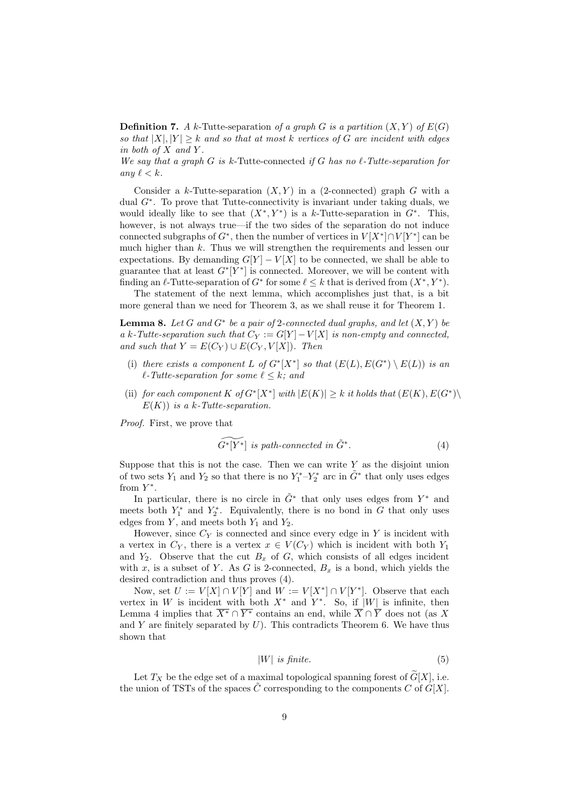**Definition 7.** A k-Tutte-separation of a graph G is a partition  $(X, Y)$  of  $E(G)$ so that  $|X|, |Y| \geq k$  and so that at most k vertices of G are incident with edges in both of  $X$  and  $Y$ .

We say that a graph  $G$  is k-Tutte-connected if  $G$  has no  $\ell$ -Tutte-separation for any  $\ell < k$ .

Consider a k-Tutte-separation  $(X, Y)$  in a (2-connected) graph G with a dual G<sup>∗</sup> . To prove that Tutte-connectivity is invariant under taking duals, we would ideally like to see that  $(X^*, Y^*)$  is a k-Tutte-separation in  $G^*$ . This, however, is not always true—if the two sides of the separation do not induce connected subgraphs of  $G^*$ , then the number of vertices in  $V[X^*] \cap V[Y^*]$  can be much higher than  $k$ . Thus we will strengthen the requirements and lessen our expectations. By demanding  $G[Y] - V[X]$  to be connected, we shall be able to guarantee that at least  $G^*[Y^*]$  is connected. Moreover, we will be content with finding an  $\ell$ -Tutte-separation of  $G^*$  for some  $\ell \leq k$  that is derived from  $(X^*, Y^*)$ .

The statement of the next lemma, which accomplishes just that, is a bit more general than we need for Theorem 3, as we shall reuse it for Theorem 1.

**Lemma 8.** Let G and  $G^*$  be a pair of 2-connected dual graphs, and let  $(X, Y)$  be a k-Tutte-separation such that  $C_Y := G[Y] - V[X]$  is non-empty and connected, and such that  $Y = E(C_Y) \cup E(C_Y, V[X])$ . Then

- (i) there exists a component L of  $G^*[X^*]$  so that  $(E(L), E(G^*) \setminus E(L))$  is an  $\ell$ -Tutte-separation for some  $\ell \leq k$ ; and
- (ii) for each component K of  $G^*[X^*]$  with  $|E(K)| \geq k$  it holds that  $(E(K), E(G^*)\setminus$  $E(K)$ ) is a k-Tutte-separation.

Proof. First, we prove that

$$
\widetilde{G^*[Y^*]} \text{ is path-connected in } \widetilde{G}^*.
$$
 (4)

Suppose that this is not the case. Then we can write  $Y$  as the disjoint union of two sets  $Y_1$  and  $Y_2$  so that there is no  $Y_1^*$ - $Y_2^*$  arc in  $\tilde{G}^*$  that only uses edges from  $Y^*$ .

In particular, there is no circle in  $\tilde{G}^*$  that only uses edges from  $Y^*$  and meets both  $Y_1^*$  and  $Y_2^*$ . Equivalently, there is no bond in G that only uses edges from  $Y$ , and meets both  $Y_1$  and  $Y_2$ .

However, since  $C_Y$  is connected and since every edge in Y is incident with a vertex in  $C_Y$ , there is a vertex  $x \in V(C_Y)$  which is incident with both  $Y_1$ and  $Y_2$ . Observe that the cut  $B_x$  of G, which consists of all edges incident with x, is a subset of Y. As G is 2-connected,  $B_x$  is a bond, which yields the desired contradiction and thus proves (4).

Now, set  $U := V[X] \cap V[Y]$  and  $W := V[X^*] \cap V[Y^*]$ . Observe that each vertex in W is incident with both  $X^*$  and  $Y^*$ . So, if  $|W|$  is infinite, then Lemma 4 implies that  $\overline{X^*} \cap \overline{Y^*}$  contains an end, while  $\overline{X} \cap \overline{Y}$  does not (as X and  $Y$  are finitely separated by  $U$ ). This contradicts Theorem 6. We have thus shown that

$$
|W| \t{is finite.} \t(5)
$$

Let  $T_X$  be the edge set of a maximal topological spanning forest of  $\widetilde{G}[X]$ , i.e. the union of TSTs of the spaces  $\tilde{C}$  corresponding to the components C of  $G[X]$ .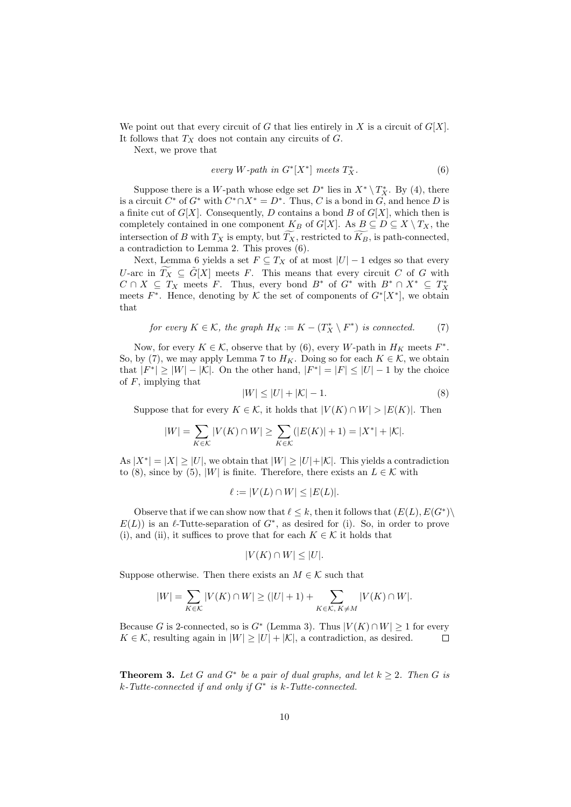We point out that every circuit of G that lies entirely in X is a circuit of  $G[X]$ . It follows that  $T_X$  does not contain any circuits of  $G$ .

Next, we prove that

$$
every \ W\text{-}path \ in \ G^*[X^*] \ meets \ T_X^*.
$$
 (6)

Suppose there is a W-path whose edge set  $D^*$  lies in  $X^* \setminus T_X^*$ . By (4), there is a circuit  $C^*$  of  $G^*$  with  $C^* \cap X^* = D^*$ . Thus, C is a bond in G, and hence D is a finite cut of  $G[X]$ . Consequently, D contains a bond B of  $G[X]$ , which then is completely contained in one component  $K_B$  of  $G[X]$ . As  $B \subseteq D \subseteq X \setminus T_X$ , the intersection of B with  $T_X$  is empty, but  $\widetilde{T_X}$ , restricted to  $\widetilde{K_B}$ , is path-connected, a contradiction to Lemma 2. This proves (6).

Next, Lemma 6 yields a set  $F \subseteq T_X$  of at most  $|U| - 1$  edges so that every U-arc in  $\widetilde{T_X} \subseteq \widetilde{G}[X]$  meets F. This means that every circuit C of G with  $C \cap X \subseteq T_X$  meets F. Thus, every bond  $B^*$  of  $G^*$  with  $B^* \cap X^* \subseteq T_X^*$  meets  $F^*$ . Hence, denoting by K the set of components of  $G^*[X^*]$ , we obtain that

for every 
$$
K \in \mathcal{K}
$$
, the graph  $H_K := K - (T_X^* \setminus F^*)$  is connected. (7)

Now, for every  $K \in \mathcal{K}$ , observe that by (6), every W-path in  $H_K$  meets  $F^*$ . So, by (7), we may apply Lemma 7 to  $H_K$ . Doing so for each  $K \in \mathcal{K}$ , we obtain that  $|F^*| \ge |W| - |\mathcal{K}|$ . On the other hand,  $|F^*| = |F| \le |U| - 1$  by the choice of  $F$ , implying that

$$
|W| \le |U| + |\mathcal{K}| - 1. \tag{8}
$$

Suppose that for every  $K \in \mathcal{K}$ , it holds that  $|V(K) \cap W| > |E(K)|$ . Then

$$
|W| = \sum_{K \in \mathcal{K}} |V(K) \cap W| \ge \sum_{K \in \mathcal{K}} (|E(K)| + 1) = |X^*| + |\mathcal{K}|.
$$

As  $|X^*| = |X| \ge |U|$ , we obtain that  $|W| \ge |U| + |\mathcal{K}|$ . This yields a contradiction to (8), since by (5), |W| is finite. Therefore, there exists an  $L \in \mathcal{K}$  with

$$
\ell := |V(L) \cap W| \le |E(L)|.
$$

Observe that if we can show now that  $\ell \leq k$ , then it follows that  $(E(L), E(G^*)\setminus$  $E(L)$ ) is an  $\ell$ -Tutte-separation of  $G^*$ , as desired for (i). So, in order to prove (i), and (ii), it suffices to prove that for each  $K \in \mathcal{K}$  it holds that

$$
|V(K) \cap W| \leq |U|.
$$

Suppose otherwise. Then there exists an  $M \in \mathcal{K}$  such that

$$
|W|=\sum_{K\in \mathcal{K}}|V(K)\cap W|\geq (|U|+1)+\sum_{K\in \mathcal{K},\,K\neq M}|V(K)\cap W|.
$$

Because G is 2-connected, so is  $G^*$  (Lemma 3). Thus  $|V(K) \cap W| \ge 1$  for every  $K \in \mathcal{K}$ , resulting again in  $|W| \geq |U| + |\mathcal{K}|$ , a contradiction, as desired.  $\Box$ 

**Theorem 3.** Let G and  $G^*$  be a pair of dual graphs, and let  $k \geq 2$ . Then G is k-Tutte-connected if and only if G<sup>∗</sup> is k-Tutte-connected.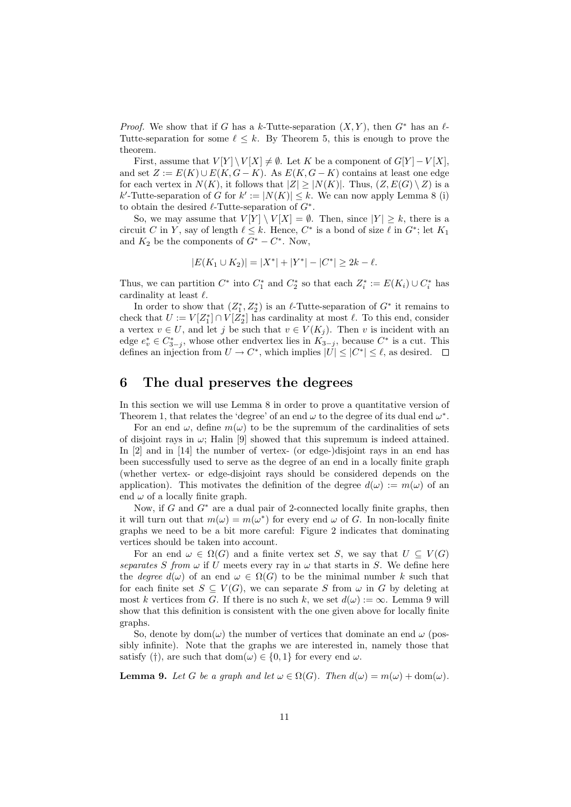*Proof.* We show that if G has a k-Tutte-separation  $(X, Y)$ , then  $G^*$  has an  $\ell$ -Tutte-separation for some  $\ell \leq k$ . By Theorem 5, this is enough to prove the theorem.

First, assume that  $V[Y] \setminus V[X] \neq \emptyset$ . Let K be a component of  $G[Y] - V[X]$ , and set  $Z := E(K) \cup E(K, G - K)$ . As  $E(K, G - K)$  contains at least one edge for each vertex in  $N(K)$ , it follows that  $|Z| \geq |N(K)|$ . Thus,  $(Z, E(G) \setminus Z)$  is a k'-Tutte-separation of G for  $k' := |N(K)| \leq k$ . We can now apply Lemma 8 (i) to obtain the desired  $\ell$ -Tutte-separation of  $G^*$ .

So, we may assume that  $V[Y] \setminus V[X] = \emptyset$ . Then, since  $|Y| \geq k$ , there is a circuit C in Y, say of length  $\ell \leq k$ . Hence,  $C^*$  is a bond of size  $\ell$  in  $G^*$ ; let  $K_1$ and  $K_2$  be the components of  $G^* - C^*$ . Now,

$$
|E(K_1 \cup K_2)| = |X^*| + |Y^*| - |C^*| \ge 2k - \ell.
$$

Thus, we can partition  $C^*$  into  $C_1^*$  and  $C_2^*$  so that each  $Z_i^* := E(K_i) \cup C_i^*$  has cardinality at least  $\ell$ .

In order to show that  $(Z_1^*, Z_2^*)$  is an  $\ell$ -Tutte-separation of  $G^*$  it remains to check that  $U := V[Z_1^*] \cap V[Z_2^*]$  has cardinality at most  $\ell$ . To this end, consider a vertex  $v \in U$ , and let j be such that  $v \in V(K_i)$ . Then v is incident with an edge  $e_v^* \in C_{3-j}^*$ , whose other endvertex lies in  $K_{3-j}$ , because  $C^*$  is a cut. This defines an injection from  $U \to C^*$ , which implies  $|U| \leq |C^*| \leq \ell$ , as desired.

## 6 The dual preserves the degrees

In this section we will use Lemma 8 in order to prove a quantitative version of Theorem 1, that relates the 'degree' of an end  $\omega$  to the degree of its dual end  $\omega^*$ .

For an end  $\omega$ , define  $m(\omega)$  to be the supremum of the cardinalities of sets of disjoint rays in  $\omega$ ; Halin [9] showed that this supremum is indeed attained. In [2] and in [14] the number of vertex- (or edge-)disjoint rays in an end has been successfully used to serve as the degree of an end in a locally finite graph (whether vertex- or edge-disjoint rays should be considered depends on the application). This motivates the definition of the degree  $d(\omega) := m(\omega)$  of an end  $\omega$  of a locally finite graph.

Now, if  $G$  and  $G^*$  are a dual pair of 2-connected locally finite graphs, then it will turn out that  $m(\omega) = m(\omega^*)$  for every end  $\omega$  of G. In non-locally finite graphs we need to be a bit more careful: Figure 2 indicates that dominating vertices should be taken into account.

For an end  $\omega \in \Omega(G)$  and a finite vertex set S, we say that  $U \subseteq V(G)$ separates S from  $\omega$  if U meets every ray in  $\omega$  that starts in S. We define here the *degree*  $d(\omega)$  of an end  $\omega \in \Omega(G)$  to be the minimal number k such that for each finite set  $S \subseteq V(G)$ , we can separate S from  $\omega$  in G by deleting at most k vertices from G. If there is no such k, we set  $d(\omega) := \infty$ . Lemma 9 will show that this definition is consistent with the one given above for locally finite graphs.

So, denote by dom( $\omega$ ) the number of vertices that dominate an end  $\omega$  (possibly infinite). Note that the graphs we are interested in, namely those that satisfy (†), are such that dom $(\omega) \in \{0,1\}$  for every end  $\omega$ .

**Lemma 9.** Let G be a graph and let  $\omega \in \Omega(G)$ . Then  $d(\omega) = m(\omega) + \text{dom}(\omega)$ .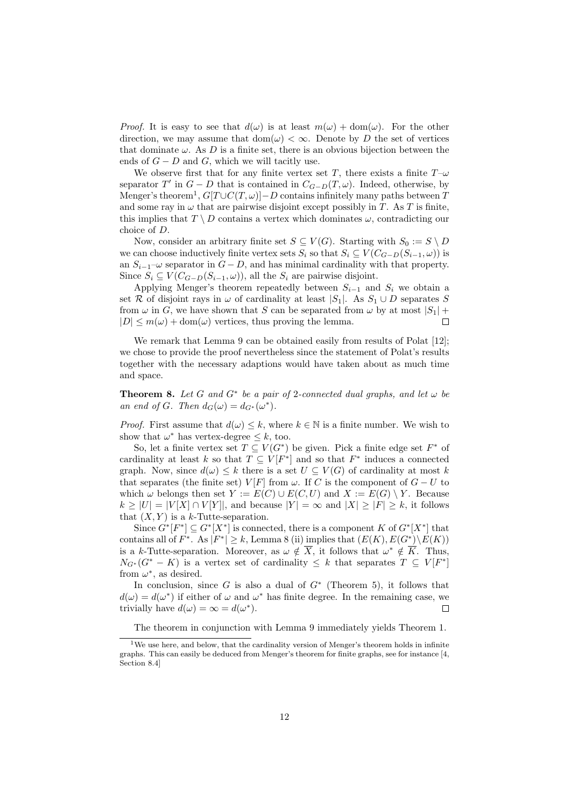*Proof.* It is easy to see that  $d(\omega)$  is at least  $m(\omega) + dom(\omega)$ . For the other direction, we may assume that dom $(\omega) < \infty$ . Denote by D the set of vertices that dominate  $\omega$ . As D is a finite set, there is an obvious bijection between the ends of  $G - D$  and  $G$ , which we will tacitly use.

We observe first that for any finite vertex set T, there exists a finite  $T-\omega$ separator T' in  $G - D$  that is contained in  $C_{G-D}(T, \omega)$ . Indeed, otherwise, by Menger's theorem<sup>1</sup>,  $G[T\cup C(T,\omega)]-D$  contains infinitely many paths between T and some ray in  $\omega$  that are pairwise disjoint except possibly in T. As T is finite, this implies that  $T \setminus D$  contains a vertex which dominates  $\omega$ , contradicting our choice of D.

Now, consider an arbitrary finite set  $S \subseteq V(G)$ . Starting with  $S_0 := S \setminus D$ we can choose inductively finite vertex sets  $S_i$  so that  $S_i \subseteq V(C_{G-D}(S_{i-1}, \omega))$  is an  $S_{i-1}$ – $\omega$  separator in  $G - D$ , and has minimal cardinality with that property. Since  $S_i \subseteq V(C_{G-D}(S_{i-1}, \omega))$ , all the  $S_i$  are pairwise disjoint.

Applying Menger's theorem repeatedly between  $S_{i-1}$  and  $S_i$  we obtain a set R of disjoint rays in  $\omega$  of cardinality at least  $|S_1|$ . As  $S_1 \cup D$  separates S from  $\omega$  in G, we have shown that S can be separated from  $\omega$  by at most  $|S_1|$  +  $|D| \leq m(\omega) + \text{dom}(\omega)$  vertices, thus proving the lemma.  $\Box$ 

We remark that Lemma 9 can be obtained easily from results of Polat [12]; we chose to provide the proof nevertheless since the statement of Polat's results together with the necessary adaptions would have taken about as much time and space.

**Theorem 8.** Let G and  $G^*$  be a pair of 2-connected dual graphs, and let  $\omega$  be an end of G. Then  $d_G(\omega) = d_{G^*}(\omega^*)$ .

*Proof.* First assume that  $d(\omega) \leq k$ , where  $k \in \mathbb{N}$  is a finite number. We wish to show that  $\omega^*$  has vertex-degree  $\leq k$ , too.

So, let a finite vertex set  $T \subseteq V(G^*)$  be given. Pick a finite edge set  $F^*$  of cardinality at least k so that  $T \subseteq V[F^*]$  and so that  $F^*$  induces a connected graph. Now, since  $d(\omega) \leq k$  there is a set  $U \subseteq V(G)$  of cardinality at most k that separates (the finite set)  $V[F]$  from  $\omega$ . If C is the component of  $G-U$  to which  $\omega$  belongs then set  $Y := E(C) \cup E(C, U)$  and  $X := E(G) \setminus Y$ . Because  $k \geq |U| = |V[X] \cap V[Y]|$ , and because  $|Y| = \infty$  and  $|X| \geq |F| \geq k$ , it follows that  $(X, Y)$  is a k-Tutte-separation.

Since  $G^*[F^*] \subseteq G^*[X^*]$  is connected, there is a component K of  $G^*[X^*]$  that contains all of  $F^*$ . As  $|F^*| \geq k$ , Lemma 8 (ii) implies that  $(E(K), E(G^*) \setminus E(K))$ is a k-Tutte-separation. Moreover, as  $\omega \notin \overline{X}$ , it follows that  $\omega^* \notin \overline{K}$ . Thus,  $N_{G^*}(G^* - K)$  is a vertex set of cardinality  $\leq k$  that separates  $T \subseteq V[F^*]$ from  $\omega^*$ , as desired.

In conclusion, since  $G$  is also a dual of  $G^*$  (Theorem 5), it follows that  $d(\omega) = d(\omega^*)$  if either of  $\omega$  and  $\omega^*$  has finite degree. In the remaining case, we trivially have  $d(\omega) = \infty = d(\omega^*).$  $\Box$ 

The theorem in conjunction with Lemma 9 immediately yields Theorem 1.

<sup>&</sup>lt;sup>1</sup>We use here, and below, that the cardinality version of Menger's theorem holds in infinite graphs. This can easily be deduced from Menger's theorem for finite graphs, see for instance [4, Section 8.4]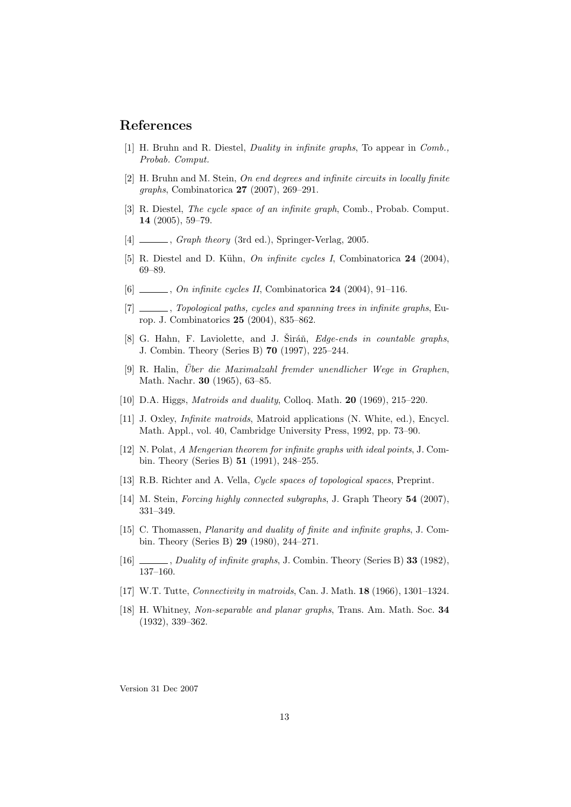## References

- [1] H. Bruhn and R. Diestel, Duality in infinite graphs, To appear in Comb., Probab. Comput.
- [2] H. Bruhn and M. Stein, On end degrees and infinite circuits in locally finite graphs, Combinatorica 27 (2007), 269–291.
- [3] R. Diestel, The cycle space of an infinite graph, Comb., Probab. Comput. 14 (2005), 59–79.
- [4]  $\frac{1}{2}$ , *Graph theory* (3rd ed.), Springer-Verlag, 2005.
- [5] R. Diestel and D. Kühn, On infinite cycles I, Combinatorica  $24$  (2004), 69–89.
- $[6]$  , On infinite cycles II, Combinatorica 24 (2004), 91–116.
- [7] \_\_\_\_\_, Topological paths, cycles and spanning trees in infinite graphs, Europ. J. Combinatorics 25 (2004), 835–862.
- [8] G. Hahn, F. Laviolette, and J. Siráň, *Edge-ends in countable graphs*, J. Combin. Theory (Series B) 70 (1997), 225–244.
- [9] R. Halin, Uber die Maximalzahl fremder unendlicher Wege in Graphen, Math. Nachr. 30 (1965), 63–85.
- [10] D.A. Higgs, *Matroids and duality*, Colloq. Math. **20** (1969), 215–220.
- [11] J. Oxley, Infinite matroids, Matroid applications (N. White, ed.), Encycl. Math. Appl., vol. 40, Cambridge University Press, 1992, pp. 73–90.
- [12] N. Polat, A Mengerian theorem for infinite graphs with ideal points, J. Combin. Theory (Series B) 51 (1991), 248–255.
- [13] R.B. Richter and A. Vella, *Cycle spaces of topological spaces*, Preprint.
- [14] M. Stein, Forcing highly connected subgraphs, J. Graph Theory 54 (2007), 331–349.
- [15] C. Thomassen, Planarity and duality of finite and infinite graphs, J. Combin. Theory (Series B) 29 (1980), 244–271.
- [16] , Duality of infinite graphs, J. Combin. Theory (Series B) 33 (1982), 137–160.
- [17] W.T. Tutte, Connectivity in matroids, Can. J. Math. 18 (1966), 1301–1324.
- [18] H. Whitney, Non-separable and planar graphs, Trans. Am. Math. Soc. 34 (1932), 339–362.

Version 31 Dec 2007